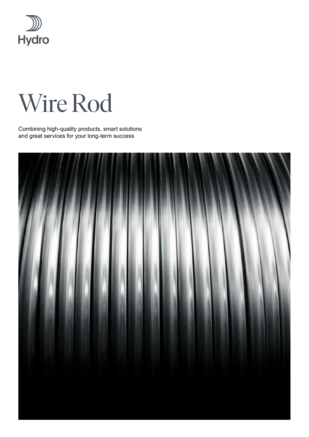

# Wire Rod

Combining high-quality products, smart solutions and great services for your long-term success

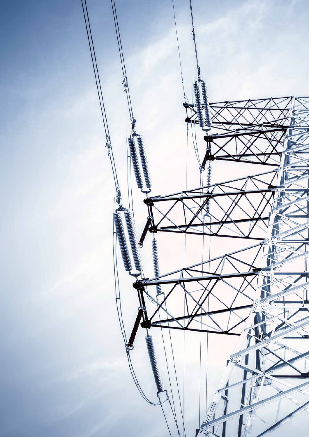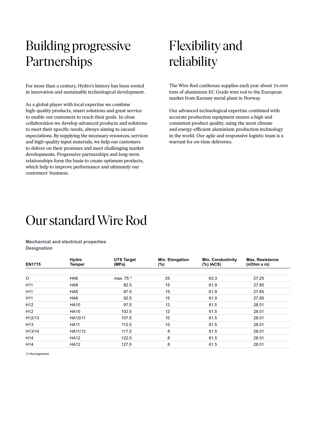### Building progressive Partnerships

For more than a century, Hydro's history has been rooted in innovation and sustainable technological development.

As a global player with local expertise we combine high-quality products, smart solutions and great service to enable our customers to reach their goals. In close collaboration we develop advanced products and solutions to meet their specific needs, always aiming to exceed expectations. By supplying the necessary resources, services and high-quality input materials, we help our customers to deliver on their promises and meet challenging market developments. Progressive partnerships and long-term relationships form the basis to create optimum products, which help to improve performance and ultimately our customers' business.

# Flexibility and reliability

The Wire Rod casthouse supplies each year about 70.000 tons of aluminium EC Grade wire rod to the European market from Karmøy metal plant in Norway.

Our advanced technological expertise combined with accurate production equipment ensure a high and consistent product quality, using the most climate and energy-efficient aluminium production technology in the world. Our agile and responsive logistic team is a warrant for on-time deliveries.

### Our standard Wire Rod

#### **Mechanical and electrical properties Designation**

| <b>EN1715</b>   | Hydro<br><b>Temper</b> | <b>UTS Target</b><br>(MPa) | Min. Elongation<br>$(\%)$ | <b>Min. Conductivity</b><br>$(\%)$ IACS) | <b>Max. Resistance</b><br>(nOhm x m) |
|-----------------|------------------------|----------------------------|---------------------------|------------------------------------------|--------------------------------------|
|                 |                        |                            |                           |                                          |                                      |
| O               | HA <sub>6</sub>        | max. $75^{1}$              | 25                        | 63.3                                     | 27.25                                |
| H11             | HA <sub>8</sub>        | 82.5                       | 15                        | 61.9                                     | 27.85                                |
| H11             | HA <sub>8</sub>        | 87.5                       | 15                        | 61.9                                     | 27.85                                |
| H11             | HA <sub>8</sub>        | 92.5                       | 15                        | 61.9                                     | 27.85                                |
| H <sub>12</sub> | <b>HA10</b>            | 97.5                       | 12                        | 61.5                                     | 28.01                                |
| H <sub>12</sub> | <b>HA10</b>            | 102.5                      | 12                        | 61.5                                     | 28.01                                |
| H12/13          | HA10/11                | 107.5                      | 10                        | 61.5                                     | 28.01                                |
| H <sub>13</sub> | <b>HA11</b>            | 112.5                      | 10                        | 61.5                                     | 28.01                                |
| H13/14          | HA11/12                | 117.5                      | 8                         | 61.5                                     | 28.01                                |
| H <sub>14</sub> | <b>HA12</b>            | 122.5                      | 8                         | 61.5                                     | 28.01                                |
| H14             | <b>HA12</b>            | 127.5                      | 8                         | 61.5                                     | 28.01                                |
|                 |                        |                            |                           |                                          |                                      |

*1) Homogenized.*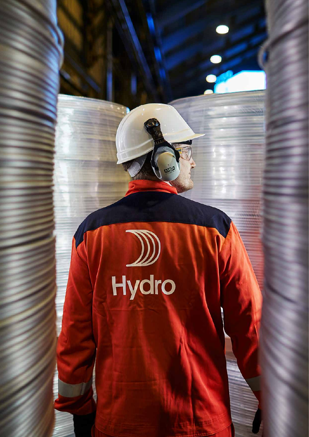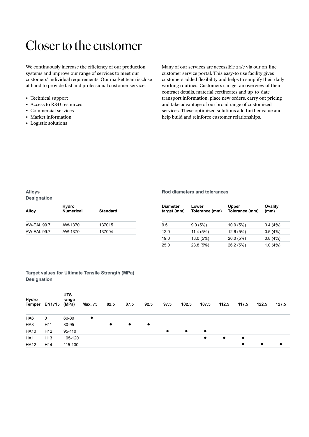### Closer to the customer

We continuously increase the efficiency of our production systems and improve our range of services to meet our customers' individual requirements. Our market team is close at hand to provide fast and professional customer service:

- Technical support
- Access to R&D resources
- Commercial services
- Market information
- Logistic solutions

Many of our services are accessible 24/7 via our on-line customer service portal. This easy-to use facility gives customers added flexibility and helps to simplify their daily working routines. Customers can get an overview of their contract details, material certificates and up-to-date transport information, place new orders, carry out pricing and take advantage of our broad range of customized services. These optimized solutions add further value and help build and reinforce customer relationships.

#### **Alloys Designation**

| Alloy              | Hydro<br>Numerical | <b>Standard</b> |  |
|--------------------|--------------------|-----------------|--|
|                    |                    |                 |  |
| AW-EAL 99.7        | AW-1370            | 137015          |  |
| <b>AW-EAL 99.7</b> | AW-1370            | 137004          |  |
|                    |                    |                 |  |

#### **Rod diameters and tolerances**

| <b>Diameter</b><br>target (mm) | Lower<br>Tolerance (mm) | Upper<br>Tolerance (mm) | Ovality<br>(mm) |  |
|--------------------------------|-------------------------|-------------------------|-----------------|--|
|                                |                         |                         |                 |  |
| 9.5                            | 9.0(5%)                 | 10.0(5%)                | 0.4(4%)         |  |
| 12.0                           | 11.4(5%)                | 12.6(5%)                | 0.5(4%)         |  |
| 19.0                           | 18.0 (5%)               | 20.0 (5%)               | 0.8(4%)         |  |
| 25.0                           | 23.8 (5%)               | 26.2 (5%)               | 1.0(4%)         |  |

#### **Target values for Ultimate Tensile Strength (MPa) Designation**

| Hydro<br>Temper | <b>EN1715</b>   | <b>UTS</b><br>range<br>(MPa) | Max. 75   | 82.5 | 87.5      | 92.5      | 97.5      | 102.5     | 107.5     | 112.5     | 117.5     | 122.5     | 127.5 |
|-----------------|-----------------|------------------------------|-----------|------|-----------|-----------|-----------|-----------|-----------|-----------|-----------|-----------|-------|
|                 |                 |                              |           |      |           |           |           |           |           |           |           |           |       |
| HA <sub>6</sub> | 0               | 60-80                        | $\bullet$ |      |           |           |           |           |           |           |           |           |       |
| HA <sub>8</sub> | H <sub>11</sub> | 80-95                        |           | ٠    | $\bullet$ | $\bullet$ |           |           |           |           |           |           |       |
| <b>HA10</b>     | H <sub>12</sub> | 95-110                       |           |      |           |           | $\bullet$ | $\bullet$ | $\bullet$ |           |           |           |       |
| <b>HA11</b>     | H <sub>13</sub> | 105-120                      |           |      |           |           |           |           | $\bullet$ | $\bullet$ | $\bullet$ |           |       |
| <b>HA12</b>     | H <sub>14</sub> | 115-130                      |           |      |           |           |           |           |           |           | $\bullet$ | $\bullet$ |       |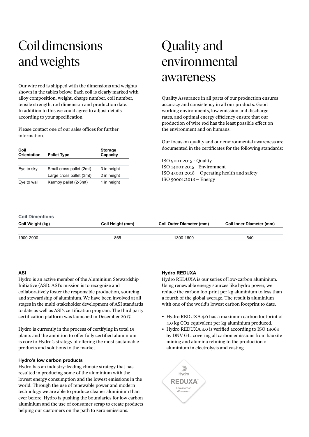# Coil dimensions and weights

Our wire rod is shipped with the dimensions and weights shown in the tables below. Each coil is clearly marked with alloy composition, weight, charge number, coil number, tensile strength, rod dimension and production date. In addition to this we could agree to adjust details according to your specification.

Please contact one of our sales offices for further information.

| Coil<br><b>Orientation</b> | <b>Pallet Type</b>       | <b>Storage</b><br>Capacity |
|----------------------------|--------------------------|----------------------------|
|                            |                          |                            |
| Eye to sky                 | Small cross pallet (2mt) | 3 in height                |
|                            | Large cross pallet (3mt) | 2 in height                |
| Eye to wall                | Karmoy pallet (2-3mt)    | 1 in height                |
|                            |                          |                            |

## Quality and environmental awareness

Quality Assurance in all parts of our production ensures accuracy and consistency in all our products. Good working environments, low emission and discharge rates, and optimal energy efficiency ensure that our production of wire rod has the least possible effect on the environment and on humans.

Our focus on quality and our environmental awareness are documented in the certificates for the following standards:

ISO 9001:2015 - Quality ISO 14001:2015 - Environment ISO 45001:2018 – Operating health and safety ISO 50001:2018 – Energy

| <b>Coil Dimentions</b> |                  |                          |                          |  |  |  |
|------------------------|------------------|--------------------------|--------------------------|--|--|--|
| Coil Weight (kg)       | Coil Height (mm) | Coil Outer Diameter (mm) | Coil Inner Diameter (mm) |  |  |  |
|                        |                  |                          |                          |  |  |  |
| 1900-2900              | 865              | 1300-1600                | 540                      |  |  |  |
|                        |                  |                          |                          |  |  |  |

#### **ASI**

Hydro is an active member of the Aluminium Stewardship Initiative (ASI). ASI's mission is to recognize and collaboratively foster the responsible production, sourcing and stewardship of aluminium. We have been involved at all stages in the multi-stakeholder development of ASI standards to date as well as ASI's certification program. The third party certification platform was launched in December 2017.

Hydro is currently in the process of certifying in total 15 plants and the ambition to offer fully certified aluminium is core to Hydro's strategy of offering the most sustainable products and solutions to the market.

#### **Hydro's low carbon products**

Hydro has an industry-leading climate strategy that has resulted in producing some of the aluminium with the lowest energy consumption and the lowest emissions in the world. Through the use of renewable power and modern technology we are able to produce cleaner aluminium than ever before. Hydro is pushing the boundaries for low carbon aluminium and the use of consumer scrap to create products helping our customers on the path to zero emissions.

#### **Hydro REDUXA**

Hydro REDUXA is our series of low-carbon aluminium. Using renewable energy sources like hydro power, we reduce the carbon footprint per kg aluminium to less than a fourth of the global average. The result is aluminium with one of the world's lowest carbon footprint to date.

- Hydro REDUXA 4.0 has a maximum carbon footprint of 4.0 kg CO2 equivalent per kg aluminium produced.
- Hydro REDUXA 4.0 is verified according to ISO 14064 by DNV GL, covering all carbon emissions from bauxite mining and alumina refining to the production of aluminium in electrolysis and casting.

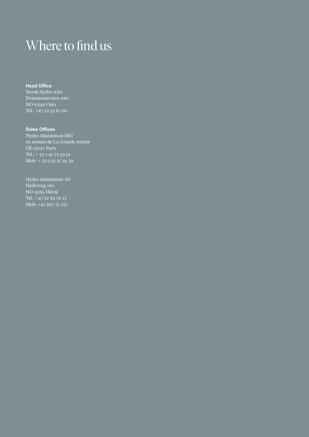### Where to find us

**Head Office** Norsk Hydro ASA Drammensveien 260 NO-0240 Oslo Tel.: +47 22 53 81 00

**Sales Offices** Hydro Aluminium S&T 16 avenue de La Grande Armée FR-75017 Paris Tel.: + 33 1 45 72 93 51 Mob: + 33 6 12 37 44 39

Hydro Aluminium AS Hydroveg 160 NO-4265 Håvik Tel.: +47 52 84 79 13 Mob: +47 907 75 257